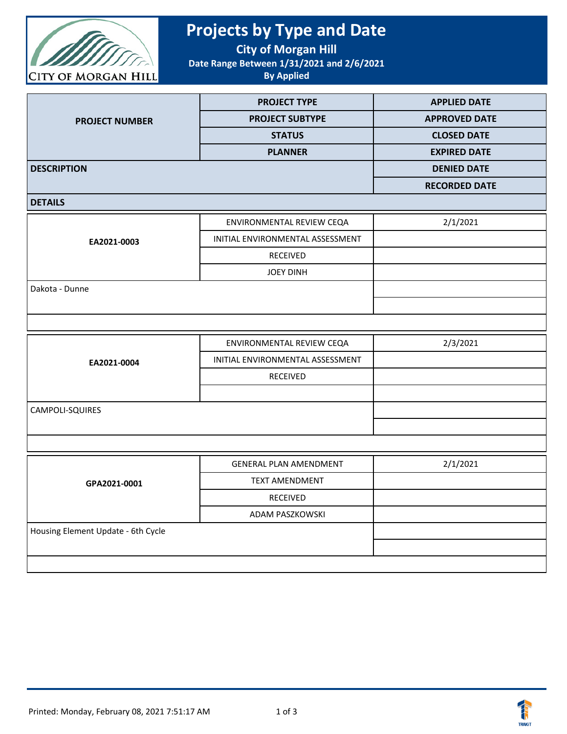

## **Projects by Type and Date**

**City of Morgan Hill**

**Date Range Between 1/31/2021 and 2/6/2021**

**By Applied**

|                       | <b>PROJECT TYPE</b>    | <b>APPLIED DATE</b>  |
|-----------------------|------------------------|----------------------|
| <b>PROJECT NUMBER</b> | <b>PROJECT SUBTYPE</b> | <b>APPROVED DATE</b> |
|                       | <b>STATUS</b>          | <b>CLOSED DATE</b>   |
|                       | <b>PLANNER</b>         | <b>EXPIRED DATE</b>  |
| <b>DESCRIPTION</b>    |                        | <b>DENIED DATE</b>   |
|                       |                        | <b>RECORDED DATE</b> |
|                       |                        |                      |

**DETAILS**

| EA2021-0003    | ENVIRONMENTAL REVIEW CEQA        | 2/1/2021 |
|----------------|----------------------------------|----------|
|                | INITIAL ENVIRONMENTAL ASSESSMENT |          |
|                | <b>RECEIVED</b>                  |          |
|                | <b>JOEY DINH</b>                 |          |
| Dakota - Dunne |                                  |          |
|                |                                  |          |
|                |                                  |          |

| EA2021-0004     | ENVIRONMENTAL REVIEW CEQA        | 2/3/2021 |
|-----------------|----------------------------------|----------|
|                 | INITIAL ENVIRONMENTAL ASSESSMENT |          |
|                 | <b>RECEIVED</b>                  |          |
|                 |                                  |          |
| CAMPOLI-SQUIRES |                                  |          |
|                 |                                  |          |
|                 |                                  |          |

| GPA2021-0001                       | <b>GENERAL PLAN AMENDMENT</b> | 2/1/2021 |
|------------------------------------|-------------------------------|----------|
|                                    | <b>TEXT AMENDMENT</b>         |          |
|                                    | RECEIVED                      |          |
|                                    | ADAM PASZKOWSKI               |          |
| Housing Element Update - 6th Cycle |                               |          |
|                                    |                               |          |
|                                    |                               |          |

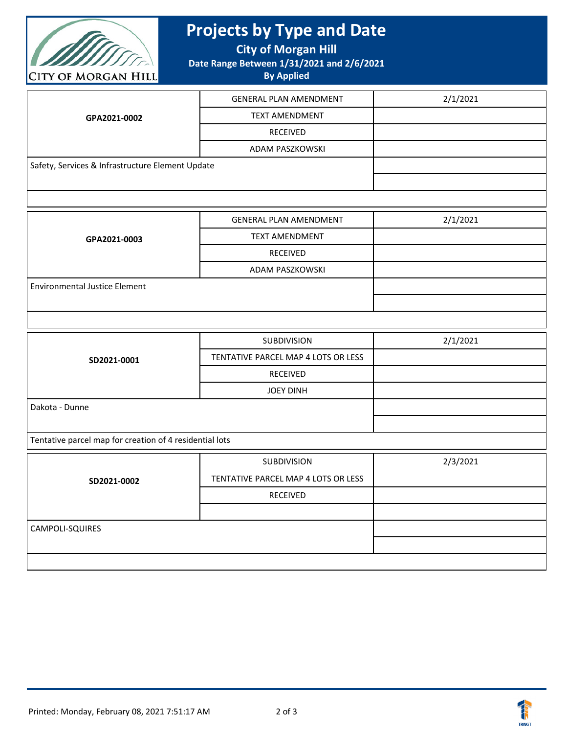

## **Projects by Type and Date**

**City of Morgan Hill**

**Date Range Between 1/31/2021 and 2/6/2021**

**By Applied**

| GPA2021-0002                                     | <b>GENERAL PLAN AMENDMENT</b> | 2/1/2021 |
|--------------------------------------------------|-------------------------------|----------|
|                                                  | <b>TEXT AMENDMENT</b>         |          |
|                                                  | RECEIVED                      |          |
|                                                  | ADAM PASZKOWSKI               |          |
| Safety, Services & Infrastructure Element Update |                               |          |
|                                                  |                               |          |
|                                                  |                               |          |

| GPA2021-0003                  | <b>GENERAL PLAN AMENDMENT</b> | 2/1/2021 |
|-------------------------------|-------------------------------|----------|
|                               | <b>TEXT AMENDMENT</b>         |          |
|                               | <b>RECEIVED</b>               |          |
|                               | ADAM PASZKOWSKI               |          |
| Environmental Justice Element |                               |          |
|                               |                               |          |
|                               |                               |          |

| SD2021-0001                                                                                                    | <b>SUBDIVISION</b>                  | 2/1/2021 |
|----------------------------------------------------------------------------------------------------------------|-------------------------------------|----------|
|                                                                                                                | TENTATIVE PARCEL MAP 4 LOTS OR LESS |          |
|                                                                                                                | RECEIVED                            |          |
|                                                                                                                | <b>JOEY DINH</b>                    |          |
| Dakota - Dunne                                                                                                 |                                     |          |
|                                                                                                                |                                     |          |
| rested to the second contract of the second contract of the second contract of the second second second second |                                     |          |

Tentative parcel map for creation of 4 residential lots

| SD2021-0002     | SUBDIVISION                         | 2/3/2021 |
|-----------------|-------------------------------------|----------|
|                 | TENTATIVE PARCEL MAP 4 LOTS OR LESS |          |
|                 | RECEIVED                            |          |
|                 |                                     |          |
| CAMPOLI-SQUIRES |                                     |          |
|                 |                                     |          |
|                 |                                     |          |